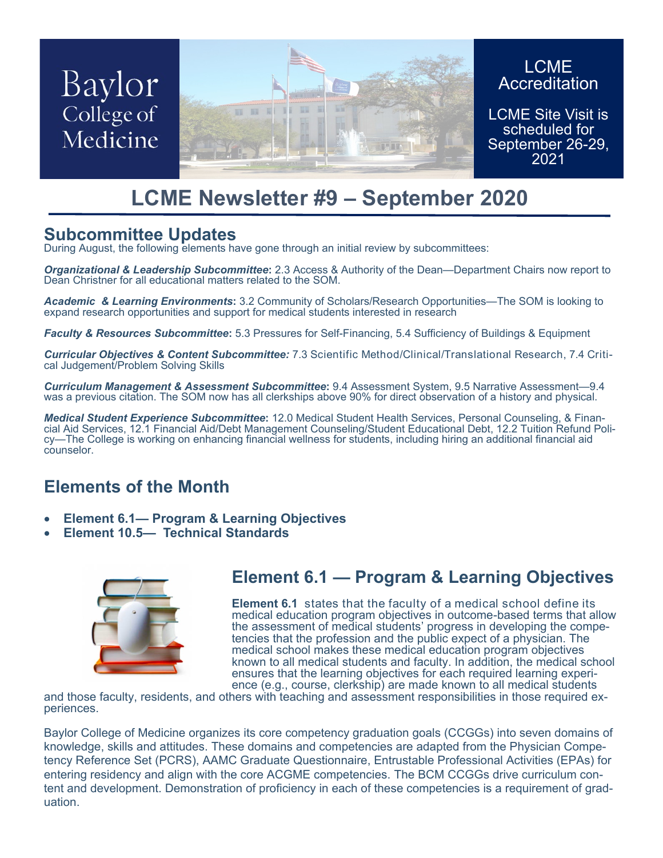# Baylor College of Medicine



#### LCME **Accreditation**

LCME Site Visit is scheduled for September 26-29, 2021

## **LCME Newsletter #9 – September 2020**

### **Subcommittee Updates**

During August, the following elements have gone through an initial review by subcommittees:

*Organizational & Leadership Subcommittee***:** 2.3 Access & Authority of the Dean—Department Chairs now report to Dean Christner for all educational matters related to the SOM.

*Academic & Learning Environments***:** 3.2 Community of Scholars/Research Opportunities—The SOM is looking to expand research opportunities and support for medical students interested in research

*Faculty & Resources Subcommittee***:** 5.3 Pressures for Self-Financing, 5.4 Sufficiency of Buildings & Equipment

*Curricular Objectives & Content Subcommittee:* 7.3 Scientific Method/Clinical/Translational Research, 7.4 Critical Judgement/Problem Solving Skills

*Curriculum Management & Assessment Subcommittee***:** 9.4 Assessment System, 9.5 Narrative Assessment—9.4 was a previous citation. The SOM now has all clerkships above 90% for direct observation of a history and physical.

*Medical Student Experience Subcommittee***:** 12.0 Medical Student Health Services, Personal Counseling, & Financial Aid Services, 12.1 Financial Aid/Debt Management Counseling/Student Educational Debt, 12.2 Tuition Refund Policy—The College is working on enhancing financial wellness for students, including hiring an additional financial aid counselor.

### **Elements of the Month**

- **Element 6.1— Program & Learning Objectives**
- **Element 10.5— Technical Standards**



### **Element 6.1 — Program & Learning Objectives**

**Element 6.1** states that the faculty of a medical school define its medical education program objectives in outcome-based terms that allow the assessment of medical students' progress in developing the competencies that the profession and the public expect of a physician. The medical school makes these medical education program objectives known to all medical students and faculty. In addition, the medical school ensures that the learning objectives for each required learning experience (e.g., course, clerkship) are made known to all medical students

and those faculty, residents, and others with teaching and assessment responsibilities in those required experiences.

Baylor College of Medicine organizes its core competency graduation goals (CCGGs) into seven domains of knowledge, skills and attitudes. These domains and competencies are adapted from the Physician Competency Reference Set (PCRS), AAMC Graduate Questionnaire, Entrustable Professional Activities (EPAs) for entering residency and align with the core ACGME competencies. The BCM CCGGs drive curriculum content and development. Demonstration of proficiency in each of these competencies is a requirement of graduation.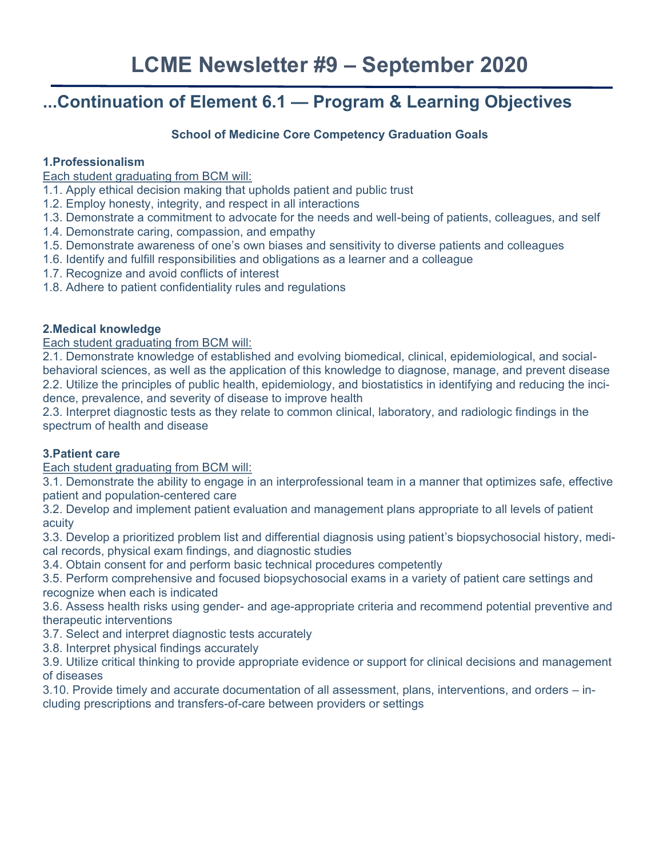### **...Continuation of Element 6.1 — Program & Learning Objectives**

#### **School of Medicine Core Competency Graduation Goals**

#### **1.Professionalism**

Each student graduating from BCM will:

1.1. Apply ethical decision making that upholds patient and public trust

- 1.2. Employ honesty, integrity, and respect in all interactions
- 1.3. Demonstrate a commitment to advocate for the needs and well-being of patients, colleagues, and self
- 1.4. Demonstrate caring, compassion, and empathy
- 1.5. Demonstrate awareness of one's own biases and sensitivity to diverse patients and colleagues
- 1.6. Identify and fulfill responsibilities and obligations as a learner and a colleague
- 1.7. Recognize and avoid conflicts of interest
- 1.8. Adhere to patient confidentiality rules and regulations

#### **2.Medical knowledge**

Each student graduating from BCM will:

2.1. Demonstrate knowledge of established and evolving biomedical, clinical, epidemiological, and socialbehavioral sciences, as well as the application of this knowledge to diagnose, manage, and prevent disease 2.2. Utilize the principles of public health, epidemiology, and biostatistics in identifying and reducing the incidence, prevalence, and severity of disease to improve health

2.3. Interpret diagnostic tests as they relate to common clinical, laboratory, and radiologic findings in the spectrum of health and disease

#### **3.Patient care**

Each student graduating from BCM will:

3.1. Demonstrate the ability to engage in an interprofessional team in a manner that optimizes safe, effective patient and population-centered care

3.2. Develop and implement patient evaluation and management plans appropriate to all levels of patient acuity

3.3. Develop a prioritized problem list and differential diagnosis using patient's biopsychosocial history, medical records, physical exam findings, and diagnostic studies

3.4. Obtain consent for and perform basic technical procedures competently

3.5. Perform comprehensive and focused biopsychosocial exams in a variety of patient care settings and recognize when each is indicated

3.6. Assess health risks using gender- and age-appropriate criteria and recommend potential preventive and therapeutic interventions

3.7. Select and interpret diagnostic tests accurately

3.8. Interpret physical findings accurately

3.9. Utilize critical thinking to provide appropriate evidence or support for clinical decisions and management of diseases

3.10. Provide timely and accurate documentation of all assessment, plans, interventions, and orders – including prescriptions and transfers-of-care between providers or settings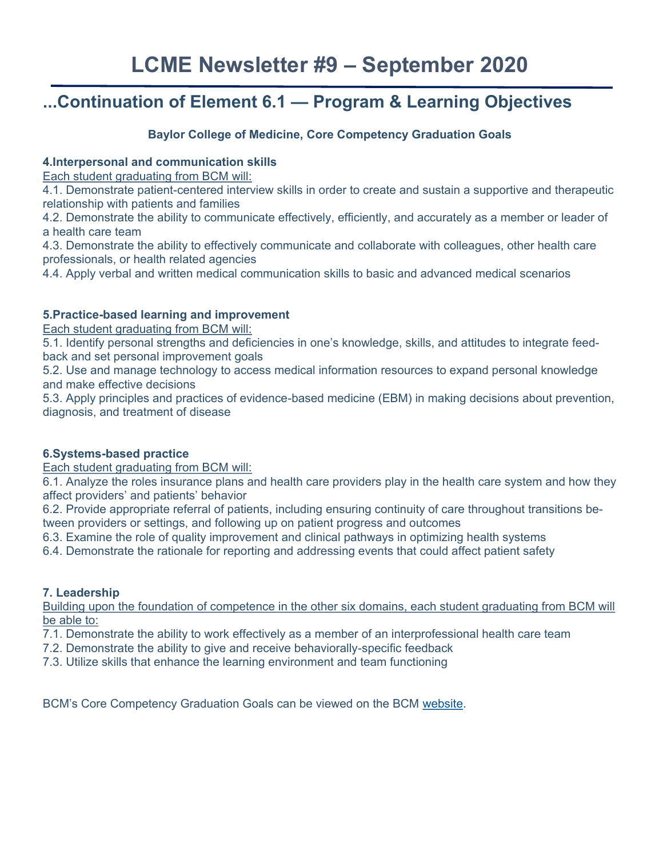### **...Continuation of Element 6.1 — Program & Learning Objectives**

#### **Baylor College of Medicine, Core Competency Graduation Goals**

#### **4.Interpersonal and communication skills**

Each student graduating from BCM will:

4.1. Demonstrate patient-centered interview skills in order to create and sustain a supportive and therapeutic relationship with patients and families

4.2. Demonstrate the ability to communicate effectively, efficiently, and accurately as a member or leader of a health care team

4.3. Demonstrate the ability to effectively communicate and collaborate with colleagues, other health care professionals, or health related agencies

4.4. Apply verbal and written medical communication skills to basic and advanced medical scenarios

#### **5.Practice-based learning and improvement**

Each student graduating from BCM will:

5.1. Identify personal strengths and deficiencies in one's knowledge, skills, and attitudes to integrate feedback and set personal improvement goals

5.2. Use and manage technology to access medical information resources to expand personal knowledge and make effective decisions

5.3. Apply principles and practices of evidence-based medicine (EBM) in making decisions about prevention, diagnosis, and treatment of disease

#### **6.Systems-based practice**

Each student graduating from BCM will:

6.1. Analyze the roles insurance plans and health care providers play in the health care system and how they affect providers' and patients' behavior

6.2. Provide appropriate referral of patients, including ensuring continuity of care throughout transitions between providers or settings, and following up on patient progress and outcomes

6.3. Examine the role of quality improvement and clinical pathways in optimizing health systems

6.4. Demonstrate the rationale for reporting and addressing events that could affect patient safety

#### **7. Leadership**

Building upon the foundation of competence in the other six domains, each student graduating from BCM will be able to:

7.1. Demonstrate the ability to work effectively as a member of an interprofessional health care team

- 7.2. Demonstrate the ability to give and receive behaviorally-specific feedback
- 7.3. Utilize skills that enhance the learning environment and team functioning

BCM's Core Competency Graduation Goals can be viewed on the BCM [website.](https://media.bcm.edu/documents/2016/94/ccgg-final.pdf)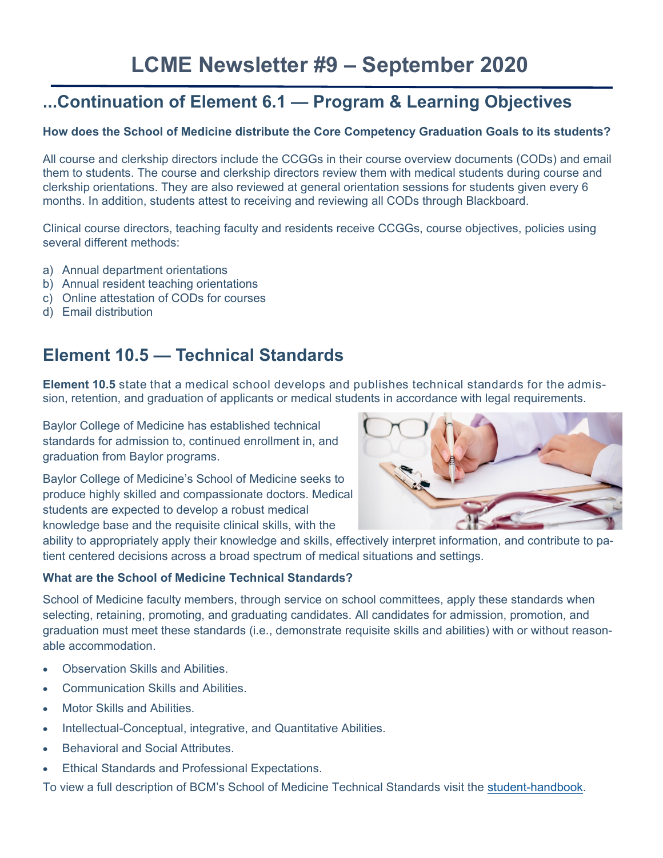### **...Continuation of Element 6.1 — Program & Learning Objectives**

#### **How does the School of Medicine distribute the Core Competency Graduation Goals to its students?**

All course and clerkship directors include the CCGGs in their course overview documents (CODs) and email them to students. The course and clerkship directors review them with medical students during course and clerkship orientations. They are also reviewed at general orientation sessions for students given every 6 months. In addition, students attest to receiving and reviewing all CODs through Blackboard.

Clinical course directors, teaching faculty and residents receive CCGGs, course objectives, policies using several different methods:

- a) Annual department orientations
- b) Annual resident teaching orientations
- c) Online attestation of CODs for courses
- d) Email distribution

### **Element 10.5 — Technical Standards**

**Element 10.5** state that a medical school develops and publishes technical standards for the admission, retention, and graduation of applicants or medical students in accordance with legal requirements.

Baylor College of Medicine has established technical standards for admission to, continued enrollment in, and graduation from Baylor programs.

Baylor College of Medicine's School of Medicine seeks to produce highly skilled and compassionate doctors. Medical students are expected to develop a robust medical knowledge base and the requisite clinical skills, with the



ability to appropriately apply their knowledge and skills, effectively interpret information, and contribute to patient centered decisions across a broad spectrum of medical situations and settings.

#### **What are the School of Medicine Technical Standards?**

School of Medicine faculty members, through service on school committees, apply these standards when selecting, retaining, promoting, and graduating candidates. All candidates for admission, promotion, and graduation must meet these standards (i.e., demonstrate requisite skills and abilities) with or without reasonable accommodation.

- Observation Skills and Abilities.
- Communication Skills and Abilities.
- Motor Skills and Abilities.
- Intellectual-Conceptual, integrative, and Quantitative Abilities.
- Behavioral and Social Attributes.
- Ethical Standards and Professional Expectations.

To view a full description of BCM's School of Medicine Technical Standards visit the student-[handbook.](https://www.bcm.edu/education/school-of-medicine/m-d-program/student-handbook/academic-standards-and-requirements/technical-standards)